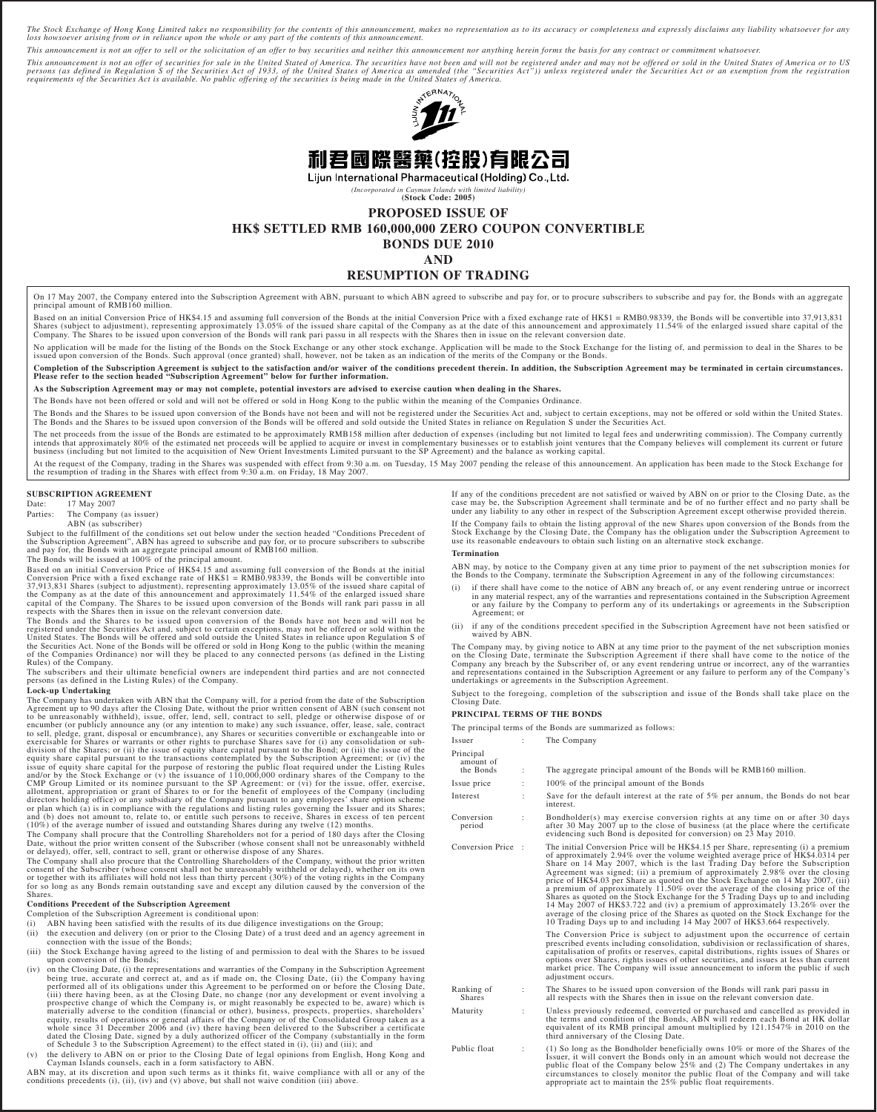The Stock Exchange of Hong Kong Limited takes no responsibility for the contents of this announcement, makes no representation as to its accuracy or completeness and expressly disclaims any liability whatsoever for any<br>los

*This announcement is not an offer to sell or the solicitation of an offer to buy securities and neither this announcement nor anything herein forms the basis for any contract or commitment whatsoever.*

This announcement is not an offer of securities for sale in the United Stated of America. The securities have not been and will not be registered under and may not be offered or sold in the United States of America or to U



Lijun International Pharmaceutical (Holding) Co., Ltd.

*(Incorporated in Cayman Islands with limited liability)* **(Stock Code: 2005)**

**PROPOSED ISSUE OF**

**HK\$ SETTLED RMB 160,000,000 ZERO COUPON CONVERTIBLE**

**BONDS DUE 2010**

# **AND**

### **RESUMPTION OF TRADING**

On 17 May 2007, the Company entered into the Subscription Agreement with ABN, pursuant to which ABN agreed to subscribe and pay for, or to procure subscribers to subscribe and pay for, the Bonds with an aggregate principal amount of RMB160 million.

Based on an initial Conversion Price of HK\$4.15 and assuming full conversion of the Bonds at the initial Conversion Price with a fixed exchange rate of HK\$1 = RMB0.98339, the Bonds will be convertible into 37,913,831<br>Share

No application will be made for the listing of the Bonds on the Stock Exchange or any other stock exchange. Application will be made to the Stock Exchange for the listing of, and permission to deal in the Shares to be issued upon conversion of the Bonds. Such approval (once granted) shall, however, not be taken as an indication of the merits of the Company or the Bonds.

Completion of the Subscription Agreement is subject to the satisfaction and/or waiver of the conditions precedent therein. In addition, the Subscription Agreement may be terminated in certain circumstances.<br>Please refer to

**As the Subscription Agreement may or may not complete, potential investors are advised to exercise caution when dealing in the Shares.**

The Bonds have not been offered or sold and will not be offered or sold in Hong Kong to the public within the meaning of the Companies Ordinance.

The Bonds and the Shares to be issued upon conversion of the Bonds have not been and will not be registered under the Securities Act and, subject to certain exceptions, may not be offered or sold within the United States.<br>

The net proceeds from the issue of the Bonds are estimated to be approximately RMB158 million after deduction of expenses (including but not limited to legal fees and underwriting commission). The Company currently intends that approximately 80% of the estimated net proceeds will be applied to acquire or invest in complementary businesses or to establish joint ventures that the Company believes will complement its current or future<br>b

At the request of the Company, trading in the Shares was suspended with effect from 9:30 a.m. on Tuesday, 15 May 2007 pending the release of this announcement. An application has been made to the Stock Exchange for<br>the res

# **SUBSCRIPTION AGREEMENT**<br>Date: 17 May 2007

Date: 17 May 2007<br>Parties: The Company

The Company (as issuer)

ABN (as subscriber)

Subject to the fulfillment of the conditions set out below under the section headed "Conditions Precedent of<br>the Subscription Agreement", ABN has agreed to subscribe and pay for, or to procure subscribers to subscribe<br>and

The Bonds will be issued at 100% of the principal amount.

Based on an initial Conversion Price of HK\$4.15 and assuming full conversion of the Bonds at the initial Conversion Price with a fixed exchange rate of HK\$1 = RMB0.98339, the Bonds will be convertible into 37,913,831 Share

The Bonds and the Shares to be issued upon conversion of the Bonds have not been and will not be<br>registered under the Securities Act and, subject to certain exceptions, may not be offered or sold within the<br>United States.

The subscribers and their ultimate beneficial owners are independent third parties and are not connected persons (as defined in the Listing Rules) of the Company.

#### **Lock-up Undertaking**

The Company has undertaken with ABN that the Company will, for a period from the date of the Subscription<br>Agreement up to 90 days after the Closing Date, without the prior written consent of ABN (such consent not<br>to be unr issue of equity share capital for the purpose of restoring the public float required under the Listing Rules<br>and/or by the Stock Exchange or (v) the issuance of 110,000,000 ordinary shares of the Company to the<br>CMP Group L

The Company shall procure that the Controlling Shareholders not for a period of 180 days after the Closing Date, without the prior written consent of the Subscriber (whose consent shall not be unreasonably withheld or delayed), offer, sell, contract to sell, grant or otherwise dispose of any Shares.

The Company shall also procure that the Controlling Shareholders of the Company, without the prior written<br>consent of the Subscriber (whose consent shall not be unreasonably withheld or delayed), whether on its own<br>or toge

#### **Conditions Precedent of the Subscription Agreement**

Completion of the Subscription Agreement is conditional upon:

- (i) ABN having been satisfied with the results of its due diligence investigations on the Group;
- (ii) the execution and delivery (on or prior to the Closing Date) of a trust deed and an agency agreement in connection with the issue of the Bonds;
- (iii) the Stock Exchange having agreed to the listing of and permission to deal with the Shares to be issued upon conversion of the Bonds;
- (iv) on the Closing Date, (i) the representations and warranties of the Company in the Subscription Agreement<br>being true, accurate and correct at, and as if made on, the Closing Date, (ii) the Company having<br>performed all
- (v) the delivery to ABN on or prior to the Closing Date of legal opinions from English, Hong Kong and Cayman Islands counsels, each in a form satisfactory to ABN.

ABN may, at its discretion and upon such terms as it thinks fit, waive compliance with all or any of the conditions precedents (i), (ii), (iv) and (v) above, but shall not waive condition (iii) above.

If any of the conditions precedent are not satisfied or waived by ABN on or prior to the Closing Date, as the case may be, the Subscription Agreement shall terminate and be of no further effect and no party shall be under any liability to any other in respect of the Subscription Agreement except otherwise provided therein.

If the Company fails to obtain the listing approval of the new Shares upon conversion of the Bonds from the<br>Stock Exchange by the Closing Date, the Company has the obligation under the Subscription Agreement to<br>use its rea

#### **Termination**

ABN may, by notice to the Company given at any time prior to payment of the net subscription monies for the Bonds to the Company, terminate the Subscription Agreement in any of the following circumstances:

- (i) if there shall have come to the notice of ABN any breach of, or any event rendering untrue or incorrect in any material respect, any of the warranties and representations contained in the Subscription Agreement or any failure by the Company to perform any of its undertakings or agreements in the Subscription Agreement; or
- (ii) if any of the conditions precedent specified in the Subscription Agreement have not been satisfied or waived by ABN.

The Company may, by giving notice to ABN at any time prior to the payment of the net subscription monies<br>on the Closing Date, terminate the Subscription Agreement if there shall have come to the notice of the<br>Company any b

Subject to the foregoing, completion of the subscription and issue of the Bonds shall take place on the Closing Date.

#### **PRINCIPAL TERMS OF THE BONDS**

The principal terms of the Bonds are summarized as follows:

Issuer : The Company

| Principal<br>amount of<br>the Bonds | $\ddot{\phantom{a}}$ | The aggregate principal amount of the Bonds will be RMB160 million.                                                                                                                                                                                                                                                                                                                                                                                                                                                                                                                                                                                                                                                                                                                                                                                   |  |  |  |  |
|-------------------------------------|----------------------|-------------------------------------------------------------------------------------------------------------------------------------------------------------------------------------------------------------------------------------------------------------------------------------------------------------------------------------------------------------------------------------------------------------------------------------------------------------------------------------------------------------------------------------------------------------------------------------------------------------------------------------------------------------------------------------------------------------------------------------------------------------------------------------------------------------------------------------------------------|--|--|--|--|
| Issue price                         |                      | 100% of the principal amount of the Bonds                                                                                                                                                                                                                                                                                                                                                                                                                                                                                                                                                                                                                                                                                                                                                                                                             |  |  |  |  |
| Interest                            |                      | Save for the default interest at the rate of $5\%$ per annum, the Bonds do not bear<br>interest.                                                                                                                                                                                                                                                                                                                                                                                                                                                                                                                                                                                                                                                                                                                                                      |  |  |  |  |
| Conversion<br>period                |                      | Bondholder(s) may exercise conversion rights at any time on or after 30 days<br>after 30 May 2007 up to the close of business (at the place where the certificate<br>evidencing such Bond is deposited for conversion) on 23 May 2010.                                                                                                                                                                                                                                                                                                                                                                                                                                                                                                                                                                                                                |  |  |  |  |
| Conversion Price:                   |                      | The initial Conversion Price will be HK\$4.15 per Share, representing (i) a premium<br>of approximately 2.94% over the volume weighted average price of HK\$4.0314 per<br>Share on 14 May 2007, which is the last Trading Day before the Subscription<br>Agreement was signed; (ii) a premium of approximately 2.98% over the closing<br>price of HK\$4.03 per Share as quoted on the Stock Exchange on 14 May 2007, (iii)<br>a premium of approximately 11.50% over the average of the closing price of the<br>Shares as quoted on the Stock Exchange for the 5 Trading Days up to and including<br>14 May 2007 of HK\$3.722 and (iv) a premium of approximately 13.26% over the<br>average of the closing price of the Shares as quoted on the Stock Exchange for the<br>10 Trading Days up to and including 14 May 2007 of HK\$3.664 respectively. |  |  |  |  |
|                                     |                      | The Conversion Price is subject to adjustment upon the occurrence of certain<br>prescribed events including consolidation, subdivision or reclassification of shares,<br>capitalisation of profits or reserves, capital distributions, rights issues of Shares or<br>options over Shares, rights issues of other securities, and issues at less than current<br>market price. The Company will issue announcement to inform the public if such<br>adjustment occurs.                                                                                                                                                                                                                                                                                                                                                                                  |  |  |  |  |
| Ranking of<br><b>Shares</b>         | :                    | The Shares to be issued upon conversion of the Bonds will rank pari passu in<br>all respects with the Shares then in issue on the relevant conversion date.                                                                                                                                                                                                                                                                                                                                                                                                                                                                                                                                                                                                                                                                                           |  |  |  |  |
| Maturity                            | ÷                    | Unless previously redeemed, converted or purchased and cancelled as provided in<br>the terms and condition of the Bonds, ABN will redeem each Bond at HK dollar<br>equivalent of its RMB principal amount multiplied by $121.1547\%$ in 2010 on the<br>third anniversary of the Closing Date.                                                                                                                                                                                                                                                                                                                                                                                                                                                                                                                                                         |  |  |  |  |
| Public float                        | $\ddot{\phantom{a}}$ | $(1)$ So long as the Bondholder beneficially owns 10% or more of the Shares of the<br>Issuer, it will convert the Bonds only in an amount which would not decrease the<br>public float of the Company below $25\%$ and (2) The Company undertakes in any<br>circumstances to closely monitor the public float of the Company and will take<br>appropriate act to maintain the 25% public float requirements.                                                                                                                                                                                                                                                                                                                                                                                                                                          |  |  |  |  |